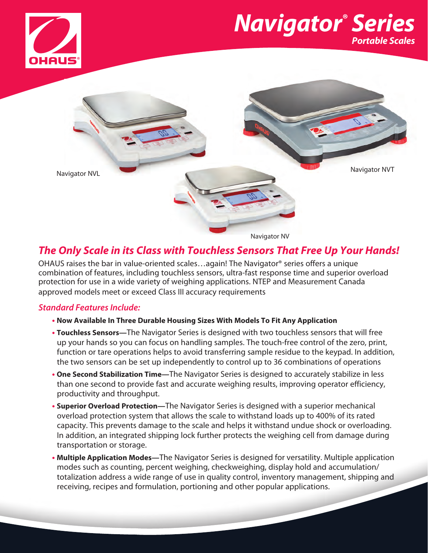

# *Navigator® Series Portable Scales*



## *The Only Scale in its Class with Touchless Sensors That Free Up Your Hands!*

OHAUS raises the bar in value-oriented scales…again! The Navigator® series offers a unique combination of features, including touchless sensors, ultra-fast response time and superior overload protection for use in a wide variety of weighing applications. NTEP and Measurement Canada approved models meet or exceed Class III accuracy requirements

## *Standard Features Include:*

## **• Now Available In Three Durable Housing Sizes With Models To Fit Any Application**

- **Touchless Sensors—**The Navigator Series is designed with two touchless sensors that will free up your hands so you can focus on handling samples. The touch-free control of the zero, print, function or tare operations helps to avoid transferring sample residue to the keypad. In addition, the two sensors can be set up independently to control up to 36 combinations of operations
- **One Second Stabilization Time—**The Navigator Series is designed to accurately stabilize in less than one second to provide fast and accurate weighing results, improving operator efficiency, productivity and throughput.
- **Superior Overload Protection—**The Navigator Series is designed with a superior mechanical overload protection system that allows the scale to withstand loads up to 400% of its rated capacity. This prevents damage to the scale and helps it withstand undue shock or overloading. In addition, an integrated shipping lock further protects the weighing cell from damage during transportation or storage.
- **Multiple Application Modes—**The Navigator Series is designed for versatility. Multiple application modes such as counting, percent weighing, checkweighing, display hold and accumulation/ totalization address a wide range of use in quality control, inventory management, shipping and receiving, recipes and formulation, portioning and other popular applications.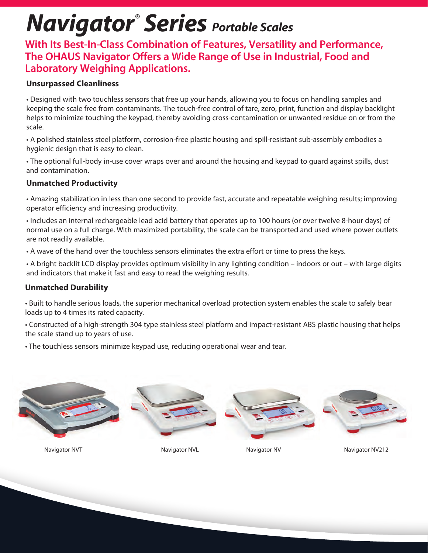# *Navigator® Series Portable Scales*

**With Its Best-In-Class Combination of Features, Versatility and Performance, The OHAUS Navigator Offers a Wide Range of Use in Industrial, Food and Laboratory Weighing Applications.**

## **Unsurpassed Cleanliness**

• Designed with two touchless sensors that free up your hands, allowing you to focus on handling samples and keeping the scale free from contaminants. The touch-free control of tare, zero, print, function and display backlight helps to minimize touching the keypad, thereby avoiding cross-contamination or unwanted residue on or from the scale.

• A polished stainless steel platform, corrosion-free plastic housing and spill-resistant sub-assembly embodies a hygienic design that is easy to clean.

• The optional full-body in-use cover wraps over and around the housing and keypad to guard against spills, dust and contamination.

## **Unmatched Productivity**

• Amazing stabilization in less than one second to provide fast, accurate and repeatable weighing results; improving operator efficiency and increasing productivity.

• Includes an internal rechargeable lead acid battery that operates up to 100 hours (or over twelve 8-hour days) of normal use on a full charge. With maximized portability, the scale can be transported and used where power outlets are not readily available.

• A wave of the hand over the touchless sensors eliminates the extra effort or time to press the keys.

• A bright backlit LCD display provides optimum visibility in any lighting condition – indoors or out – with large digits and indicators that make it fast and easy to read the weighing results.

## **Unmatched Durability**

• Built to handle serious loads, the superior mechanical overload protection system enables the scale to safely bear loads up to 4 times its rated capacity.

• Constructed of a high-strength 304 type stainless steel platform and impact-resistant ABS plastic housing that helps the scale stand up to years of use.

• The touchless sensors minimize keypad use, reducing operational wear and tear.



Navigator NVT Navigator NVL Navigator NVL Navigator NV Navigator NV212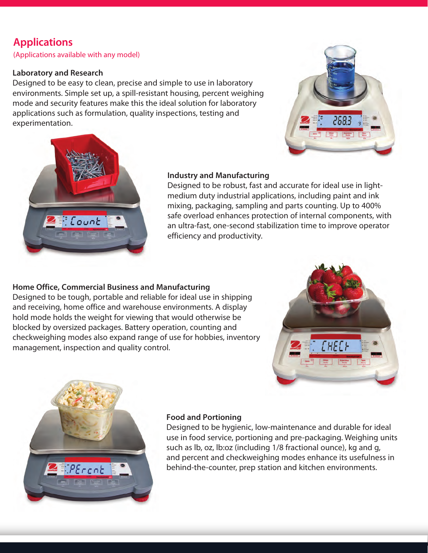# **Applications**

(Applications available with any model)

## **Laboratory and Research**

Designed to be easy to clean, precise and simple to use in laboratory environments. Simple set up, a spill-resistant housing, percent weighing mode and security features make this the ideal solution for laboratory applications such as formulation, quality inspections, testing and experimentation.





## **Industry and Manufacturing**

Designed to be robust, fast and accurate for ideal use in lightmedium duty industrial applications, including paint and ink mixing, packaging, sampling and parts counting. Up to 400% safe overload enhances protection of internal components, with an ultra-fast, one-second stabilization time to improve operator efficiency and productivity.

## **Home Office, Commercial Business and Manufacturing**

Designed to be tough, portable and reliable for ideal use in shipping and receiving, home office and warehouse environments. A display hold mode holds the weight for viewing that would otherwise be blocked by oversized packages. Battery operation, counting and checkweighing modes also expand range of use for hobbies, inventory management, inspection and quality control.





## **Food and Portioning**

Designed to be hygienic, low-maintenance and durable for ideal use in food service, portioning and pre-packaging. Weighing units such as lb, oz, lb:oz (including 1/8 fractional ounce), kg and g, and percent and checkweighing modes enhance its usefulness in behind-the-counter, prep station and kitchen environments.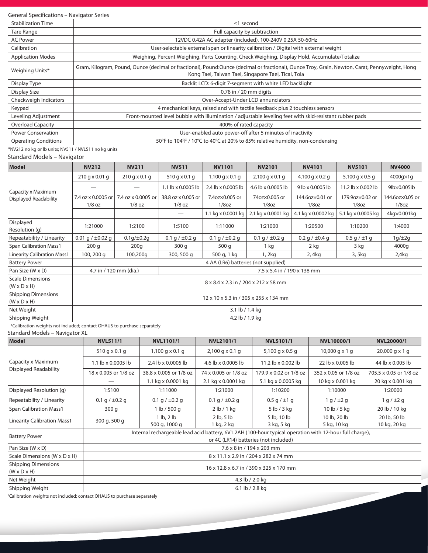### General Specifications – Navigator Series

| $\frac{1}{2}$                                        |                                                                                                                                                                                                       |  |  |  |  |
|------------------------------------------------------|-------------------------------------------------------------------------------------------------------------------------------------------------------------------------------------------------------|--|--|--|--|
| <b>Stabilization Time</b>                            | $\leq$ 1 second                                                                                                                                                                                       |  |  |  |  |
| Tare Range                                           | Full capacity by subtraction                                                                                                                                                                          |  |  |  |  |
| <b>AC Power</b>                                      | 12VDC 0.42A AC adapter (included), 100-240V 0.25A 50-60Hz                                                                                                                                             |  |  |  |  |
| Calibration                                          | User-selectable external span or linearity calibration / Digital with external weight                                                                                                                 |  |  |  |  |
| <b>Application Modes</b>                             | Weighing, Percent Weighing, Parts Counting, Check Weighing, Display Hold, Accumulate/Totalize                                                                                                         |  |  |  |  |
| Weighing Units*                                      | Gram, Kilogram, Pound, Ounce (decimal or fractional), Pound:Ounce (decimal or fractional), Ounce Troy, Grain, Newton, Carat, Pennyweight, Hong<br>Kong Tael, Taiwan Tael, Singapore Tael, Tical, Tola |  |  |  |  |
| Display Type                                         | Backlit LCD: 6-digit 7-segment with white LED backlight                                                                                                                                               |  |  |  |  |
| Display Size                                         | $0.78$ in / 20 mm digits                                                                                                                                                                              |  |  |  |  |
| Checkweigh Indicators                                | Over-Accept-Under LCD annunciators                                                                                                                                                                    |  |  |  |  |
| Keypad                                               | 4 mechanical keys, raised and with tactile feedback plus 2 touchless sensors                                                                                                                          |  |  |  |  |
| Leveling Adjustment                                  | Front-mounted level bubble with illumination / adjustable leveling feet with skid-resistant rubber pads                                                                                               |  |  |  |  |
| <b>Overload Capacity</b>                             | 400% of rated capacity                                                                                                                                                                                |  |  |  |  |
| <b>Power Conservation</b>                            | User-enabled auto power-off after 5 minutes of inactivity                                                                                                                                             |  |  |  |  |
| <b>Operating Conditions</b>                          | 50°F to 104°F / 10°C to 40°C at 20% to 85% relative humidity, non-condensing                                                                                                                          |  |  |  |  |
| *NV212 no kg or lb units; NV511 / NVL511 no kg units |                                                                                                                                                                                                       |  |  |  |  |

## Standard Models – Navigator

| <b>Model</b>                                          | <b>NV212</b>                          | <b>NV211</b>                          | <b>NV511</b>                | <b>NV1101</b>       | <b>NV2101</b>       | <b>NV4101</b>       | <b>NV5101</b>          | <b>NV4000</b>   |
|-------------------------------------------------------|---------------------------------------|---------------------------------------|-----------------------------|---------------------|---------------------|---------------------|------------------------|-----------------|
| Capacity x Maximum<br><b>Displayed Readability</b>    | $210 q \times 0.01 q$                 | $210$ g x 0.1 g                       | 510 g x 0.1 g               | $1,100$ g x 0.1 g   | $2,100$ g x 0.1 g   | $4,100$ g x 0.2 g   | 5,100 g $\times$ 0.5 g | $4000q\times1q$ |
|                                                       |                                       |                                       | 1.1 lb x 0.0005 lb          | 2.4 lb x 0.0005 lb  | 4.6 lb x 0.0005 lb  | 9 lb x 0.0005 lb    | 11.2 lb x 0.002 lb     | 9lb×0.005lb     |
|                                                       | 7.4 oz x 0.0005 or                    | 7.4 oz x 0.0005 or                    | 38.8 oz x 0.005 or          | 7.4oz×0.005 or      | 74oz×0.005 or       | 144.6oz×0.01 or     | 179.9oz×0.02 or        | 144.6oz×0.05 or |
|                                                       | $1/8$ oz                              | $1/8$ oz                              | $1/8$ oz                    | $1/8$ oz            | $1/8$ oz            | $1/8$ oz            | $1/8$ oz               | $1/8$ oz        |
|                                                       |                                       |                                       |                             | 1.1 kg x 0.0001 kg  | 2.1 kg x 0.0001 kg  | 4.1 kg x 0.0002 kg  | 5.1 kg x 0.0005 kg     | 4kg×0.001kg     |
| Displayed<br>Resolution (g)                           | 1:21000                               | 1:2100                                | 1:5100                      | 1:11000             | 1:21000             | 1:20500             | 1:10200                | 1:4000          |
| Repeatability / Linearity                             | 0.01 g / $\pm$ 0.02 g                 | $0.1q/\pm0.2q$                        | 0.1 g / $\pm$ 0.2 g         | 0.1 g $/ \pm 0.2$ g | 0.1 g $/ \pm 0.2$ g | 0.2 g / $\pm$ 0.4 g | $0.5$ g $/ \pm 1$ g    | $1g/\pm 2g$     |
| <b>Span Calibration Mass1</b>                         | 200q                                  | 200q                                  | 300q                        | 500 g               | 1 kg                | 2 kg                | 3 kg                   | 4000g           |
| <b>Linearity Calibration Mass1</b>                    | 100, 200 g                            | 100,200g                              | 300, 500 g                  | 500 g, 1 kg         | 1, 2kg              | 2, 4kg              | 3, 5kg                 | 2,4kg           |
| <b>Battery Power</b>                                  |                                       | 4 AA (LR6) batteries (not supplied)   |                             |                     |                     |                     |                        |                 |
| Pan Size (W x D)                                      |                                       | 4.7 in / 120 mm (dia.)                | 7.5 x 5.4 in / 190 x 138 mm |                     |                     |                     |                        |                 |
| <b>Scale Dimensions</b><br>$(W \times D \times H)$    | 8 x 8.4 x 2.3 in / 204 x 212 x 58 mm  |                                       |                             |                     |                     |                     |                        |                 |
| <b>Shipping Dimensions</b><br>$(W \times D \times H)$ | 12 x 10 x 5.3 in / 305 x 255 x 134 mm |                                       |                             |                     |                     |                     |                        |                 |
| Net Weight                                            | 3.1 lb / 1.4 kg                       |                                       |                             |                     |                     |                     |                        |                 |
| Shipping Weight                                       | 4.2 lb / 1.9 kg                       |                                       |                             |                     |                     |                     |                        |                 |
|                                                       |                                       | $\sim$ $\sim$<br>$\sim$ $\sim$ $\sim$ |                             |                     |                     |                     |                        |                 |

Standard Models – Navigator XL 1 Calibration weights not included; contact OHAUS to purchase separately

| <b>Model</b>                                          | <b>NVL511/1</b>                                                                                                                                  | NVL1101/1                       | <b>NVL2101/1</b>             | <b>NVL5101/1</b>                 | NVL10000/1                  | <b>NVL20000/1</b>            |  |
|-------------------------------------------------------|--------------------------------------------------------------------------------------------------------------------------------------------------|---------------------------------|------------------------------|----------------------------------|-----------------------------|------------------------------|--|
| Capacity x Maximum<br><b>Displayed Readability</b>    | $510$ g x 0.1 g                                                                                                                                  | $1,100$ g x 0.1 g               | $2,100$ g x 0.1 g            | 5,100 g $\times$ 0.5 g           | $10,000$ g x 1 g            | $20,000$ g x 1 g             |  |
|                                                       | 1.1 $\vert$ b x 0.0005 $\vert$ b                                                                                                                 | 2.4 lb x 0.0005 lb              | 4.6 lb x 0.0005 lb           | 11.2 $\vert$ b x 0.002 $\vert$ b | 22 lb x 0.005 lb            | 44 lb x 0.005 lb             |  |
|                                                       | 18 x 0.005 or 1/8 oz                                                                                                                             | 38.8 x 0.005 or 1/8 oz          | 74 x 0.005 or 1/8 oz         | 179.9 x 0.02 or 1/8 oz           | 352 x 0.05 or 1/8 oz        | 705.5 x 0.05 or 1/8 oz       |  |
|                                                       |                                                                                                                                                  | 1.1 kg x 0.0001 kg              | 2.1 kg x 0.0001 kg           | 5.1 kg x 0.0005 kg               | 10 kg x 0.001 kg            | 20 kg x 0.001 kg             |  |
| Displayed Resolution (g)                              | 1:5100                                                                                                                                           | 1:11000                         | 1:21000                      | 1:10200                          | 1:10000                     | 1:20000                      |  |
| Repeatability / Linearity                             | 0.1 g $/ \pm 0.2$ g                                                                                                                              | 0.1 g $/ \pm 0.2$ g             | 0.1 g $/ \pm 0.2$ g          | $0.5$ g $/ \pm 1$ g              | $1 q / \pm 2 q$             | $1 q / \pm 2 q$              |  |
| <b>Span Calibration Mass1</b>                         | 300 g                                                                                                                                            | 1 $\frac{1}{2}$ 1 lb / 500 g    | 2 lb/1 kg                    | 5 lb / 3 kg                      | 10 lb / 5 kg                | 20 lb / 10 kg                |  |
| <b>Linearity Calibration Mass1</b>                    | 300 g, 500 g                                                                                                                                     | $1$ lb, $2$ lb<br>500 g, 1000 g | $2$ lb, $5$ lb<br>1 kg, 2 kg | 5 lb, 10 lb<br>3 kg, 5 kg        | 10 lb, 20 lb<br>5 kg, 10 kg | 20 lb, 50 lb<br>10 kg, 20 kg |  |
| <b>Battery Power</b>                                  | Internal rechargeable lead acid battery, 6V1.2AH (100-hour typical operation with 12-hour full charge),<br>or 4C (LR14) batteries (not included) |                                 |                              |                                  |                             |                              |  |
| Pan Size (W x D)                                      | 7.6 x 8 in / 194 x 203 mm                                                                                                                        |                                 |                              |                                  |                             |                              |  |
| Scale Dimensions (W x D x H)                          | 8 x 11.1 x 2.9 in / 204 x 282 x 74 mm                                                                                                            |                                 |                              |                                  |                             |                              |  |
| <b>Shipping Dimensions</b><br>$(W \times D \times H)$ | 16 x 12.8 x 6.7 in / 390 x 325 x 170 mm                                                                                                          |                                 |                              |                                  |                             |                              |  |
| Net Weight                                            | 4.3 lb / 2.0 kg                                                                                                                                  |                                 |                              |                                  |                             |                              |  |
| Shipping Weight                                       | 6.1 lb / 2.8 kg                                                                                                                                  |                                 |                              |                                  |                             |                              |  |

1 Calibration weights not included; contact OHAUS to purchase separately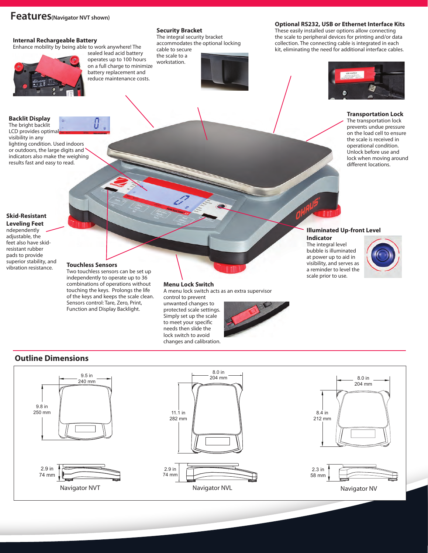## **Features(Navigator NVT shown)**

#### **Internal Rechargeable Battery**



## **Security Bracket**

the scale to a workstation.

The integral security bracket accommodates the optional locking cable to secure



These easily installed user options allow connecting the scale to peripheral devices for printing and/or data collection. The connecting cable is integrated in each kit, eliminating the need for additional interface cables.



#### **Transportation Lock** The transportation lock

prevents undue pressure on the load cell to ensure the scale is received in operational condition. Unlock before use and lock when moving around different locations.

#### The bright backlit LCD provides optima visibility in any

**Backlit Display**

lighting condition. Used indoors or outdoors, the large digits and indicators also make the weighing results fast and easy to read.

#### **Skid-Resistant Leveling Feet**

ndependently adjustable, the feet also have skidresistant rubber pads to provide superior stability, and vibration resistance.

#### **Touchless Sensors**

Two touchless sensors can be set up independently to operate up to 36 combinations of operations without touching the keys. Prolongs the life of the keys and keeps the scale clean. Sensors control: Tare, Zero, Print, Function and Display Backlight.

#### **Menu Lock Switch**

A menu lock switch acts as an extra supervisor control to prevent

unwanted changes to protected scale settings. Simply set up the scale to meet your specific needs then slide the lock switch to avoid changes and calibration.



204 mm

#### **Illuminated Up-front Level Indicator**

The integral level bubble is illuminated at power up to aid in visibility, and serves as a reminder to level the scale prior to use.



## **Outline Dimensions**